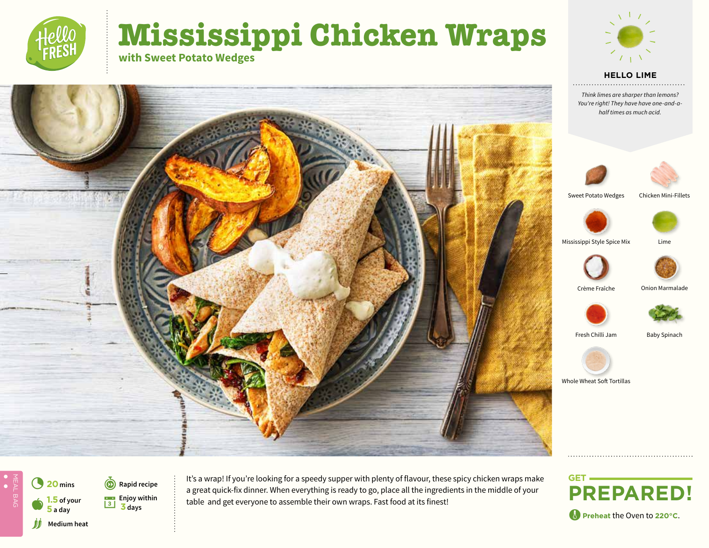# **Mississippi Chicken Wraps with Sweet Potato Wedges**



#### **HELLO LIME**

**Think limes are sharper than lemons?** *You're right! They have have one-and-ahalf times as much acid.*





Sweet Potato Wedges







Mississippi Style Spice Mix Lime









Fresh Chilli Jam Baby Spinach



Whole Wheat Soft Tortillas











*M* Medium heat